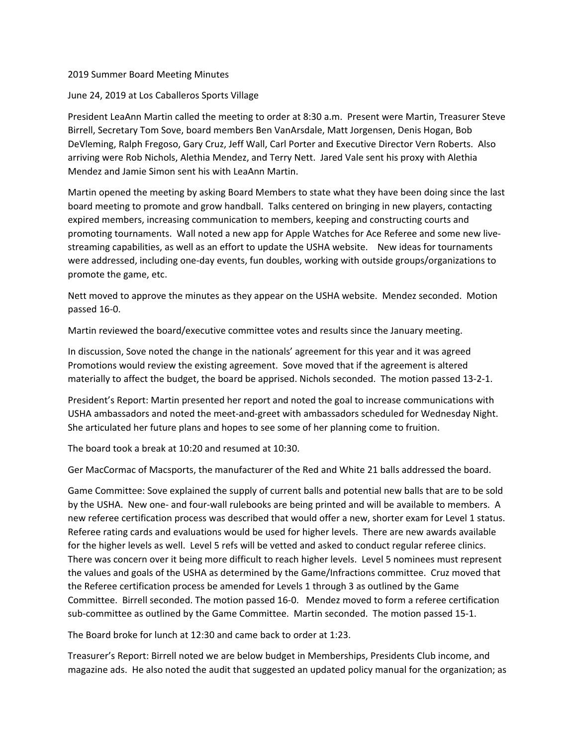## 2019 Summer Board Meeting Minutes

## June 24, 2019 at Los Caballeros Sports Village

President LeaAnn Martin called the meeting to order at 8:30 a.m. Present were Martin, Treasurer Steve Birrell, Secretary Tom Sove, board members Ben VanArsdale, Matt Jorgensen, Denis Hogan, Bob DeVleming, Ralph Fregoso, Gary Cruz, Jeff Wall, Carl Porter and Executive Director Vern Roberts. Also arriving were Rob Nichols, Alethia Mendez, and Terry Nett. Jared Vale sent his proxy with Alethia Mendez and Jamie Simon sent his with LeaAnn Martin.

Martin opened the meeting by asking Board Members to state what they have been doing since the last board meeting to promote and grow handball. Talks centered on bringing in new players, contacting expired members, increasing communication to members, keeping and constructing courts and promoting tournaments. Wall noted a new app for Apple Watches for Ace Referee and some new live‐ streaming capabilities, as well as an effort to update the USHA website. New ideas for tournaments were addressed, including one‐day events, fun doubles, working with outside groups/organizations to promote the game, etc.

Nett moved to approve the minutes as they appear on the USHA website. Mendez seconded. Motion passed 16‐0.

Martin reviewed the board/executive committee votes and results since the January meeting.

In discussion, Sove noted the change in the nationals' agreement for this year and it was agreed Promotions would review the existing agreement. Sove moved that if the agreement is altered materially to affect the budget, the board be apprised. Nichols seconded. The motion passed 13‐2‐1.

President's Report: Martin presented her report and noted the goal to increase communications with USHA ambassadors and noted the meet‐and‐greet with ambassadors scheduled for Wednesday Night. She articulated her future plans and hopes to see some of her planning come to fruition.

The board took a break at 10:20 and resumed at 10:30.

Ger MacCormac of Macsports, the manufacturer of the Red and White 21 balls addressed the board.

Game Committee: Sove explained the supply of current balls and potential new balls that are to be sold by the USHA. New one- and four-wall rulebooks are being printed and will be available to members. A new referee certification process was described that would offer a new, shorter exam for Level 1 status. Referee rating cards and evaluations would be used for higher levels. There are new awards available for the higher levels as well. Level 5 refs will be vetted and asked to conduct regular referee clinics. There was concern over it being more difficult to reach higher levels. Level 5 nominees must represent the values and goals of the USHA as determined by the Game/Infractions committee. Cruz moved that the Referee certification process be amended for Levels 1 through 3 as outlined by the Game Committee. Birrell seconded. The motion passed 16‐0. Mendez moved to form a referee certification sub‐committee as outlined by the Game Committee. Martin seconded. The motion passed 15‐1.

The Board broke for lunch at 12:30 and came back to order at 1:23.

Treasurer's Report: Birrell noted we are below budget in Memberships, Presidents Club income, and magazine ads. He also noted the audit that suggested an updated policy manual for the organization; as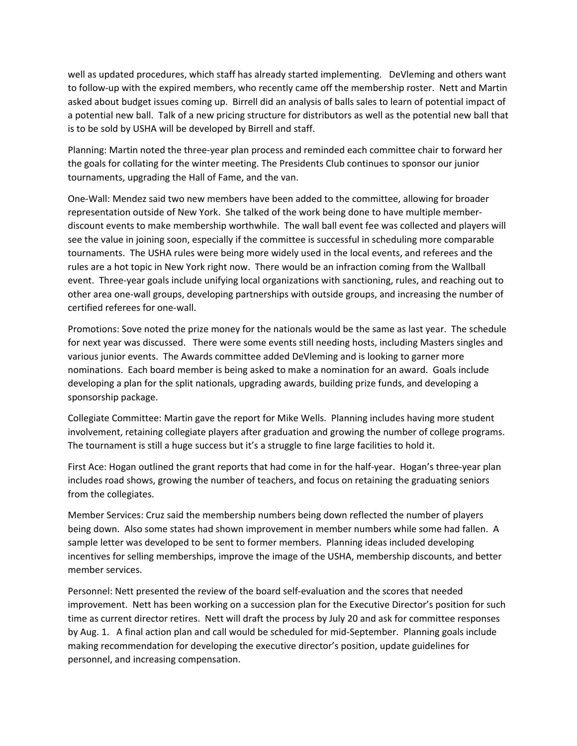well as updated procedures, which staff has already started implementing. DeVleming and others want to follow‐up with the expired members, who recently came off the membership roster. Nett and Martin asked about budget issues coming up. Birrell did an analysis of balls sales to learn of potential impact of a potential new ball. Talk of a new pricing structure for distributors as well as the potential new ball that is to be sold by USHA will be developed by Birrell and staff.

Planning: Martin noted the three‐year plan process and reminded each committee chair to forward her the goals for collating for the winter meeting. The Presidents Club continues to sponsor our junior tournaments, upgrading the Hall of Fame, and the van.

One‐Wall: Mendez said two new members have been added to the committee, allowing for broader representation outside of New York. She talked of the work being done to have multiple member‐ discount events to make membership worthwhile. The wall ball event fee was collected and players will see the value in joining soon, especially if the committee is successful in scheduling more comparable tournaments. The USHA rules were being more widely used in the local events, and referees and the rules are a hot topic in New York right now. There would be an infraction coming from the Wallball event. Three-year goals include unifying local organizations with sanctioning, rules, and reaching out to other area one‐wall groups, developing partnerships with outside groups, and increasing the number of certified referees for one‐wall.

Promotions: Sove noted the prize money for the nationals would be the same as last year. The schedule for next year was discussed. There were some events still needing hosts, including Masters singles and various junior events. The Awards committee added DeVleming and is looking to garner more nominations. Each board member is being asked to make a nomination for an award. Goals include developing a plan for the split nationals, upgrading awards, building prize funds, and developing a sponsorship package.

Collegiate Committee: Martin gave the report for Mike Wells. Planning includes having more student involvement, retaining collegiate players after graduation and growing the number of college programs. The tournament is still a huge success but it's a struggle to fine large facilities to hold it.

First Ace: Hogan outlined the grant reports that had come in for the half‐year. Hogan's three‐year plan includes road shows, growing the number of teachers, and focus on retaining the graduating seniors from the collegiates.

Member Services: Cruz said the membership numbers being down reflected the number of players being down. Also some states had shown improvement in member numbers while some had fallen. A sample letter was developed to be sent to former members. Planning ideas included developing incentives for selling memberships, improve the image of the USHA, membership discounts, and better member services.

Personnel: Nett presented the review of the board self‐evaluation and the scores that needed improvement. Nett has been working on a succession plan for the Executive Director's position for such time as current director retires. Nett will draft the process by July 20 and ask for committee responses by Aug. 1. A final action plan and call would be scheduled for mid-September. Planning goals include making recommendation for developing the executive director's position, update guidelines for personnel, and increasing compensation.